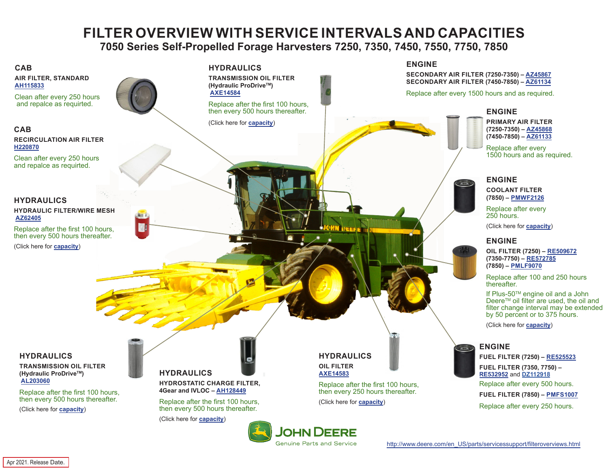# **FILTER OVERVIEW WITH SERVICE INTERVALS AND CAPACITIES**

**7050 Series Self-Propelled Forage Harvesters 7250, 7350, 7450, 7550, 7750, 7850**

<span id="page-0-0"></span>

Genuine Parts and Service

[http://www.deere.com/en\\_US/parts/servicessupport/filteroverviews.html](http://www.deere.com/en_US/parts/servicessupport/filteroverviews.html)